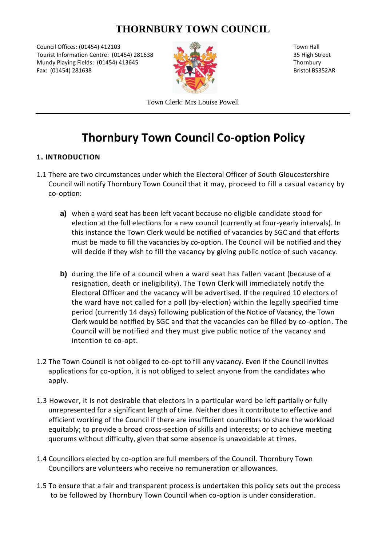# **THORNBURY TOWN COUNCIL**

Council Offices: (01454) 412103 Town Hall Tourist Information Centre: (01454) 281638 35 High Street Mundy Playing Fields: (01454) 413645 Thornbury Fax: (01454) 281638 Bristol BS352AR



Town Clerk: Mrs Louise Powell

# **Thornbury Town Council Co-option Policy**

## **1. INTRODUCTION**

- 1.1 There are two circumstances under which the Electoral Officer of South Gloucestershire Council will notify Thornbury Town Council that it may, proceed to fill a casual vacancy by co-option:
	- **a)** when a ward seat has been left vacant because no eligible candidate stood for election at the full elections for a new council (currently at four-yearly intervals). In this instance the Town Clerk would be notified of vacancies by SGC and that efforts must be made to fill the vacancies by co-option. The Council will be notified and they will decide if they wish to fill the vacancy by giving public notice of such vacancy.
	- **b)** during the life of a council when a ward seat has fallen vacant (because of a resignation, death or ineligibility). The Town Clerk will immediately notify the Electoral Officer and the vacancy will be advertised. If the required 10 electors of the ward have not called for a poll (by-election) within the legally specified time period (currently 14 days) following publication of the Notice of Vacancy, the Town Clerk would be notified by SGC and that the vacancies can be filled by co-option. The Council will be notified and they must give public notice of the vacancy and intention to co-opt.
- 1.2 The Town Council is not obliged to co-opt to fill any vacancy. Even if the Council invites applications for co-option, it is not obliged to select anyone from the candidates who apply.
- 1.3 However, it is not desirable that electors in a particular ward be left partially or fully unrepresented for a significant length of time. Neither does it contribute to effective and efficient working of the Council if there are insufficient councillors to share the workload equitably; to provide a broad cross-section of skills and interests; or to achieve meeting quorums without difficulty, given that some absence is unavoidable at times.
- 1.4 Councillors elected by co-option are full members of the Council. Thornbury Town Councillors are volunteers who receive no remuneration or allowances.
- 1.5 To ensure that a fair and transparent process is undertaken this policy sets out the process to be followed by Thornbury Town Council when co-option is under consideration.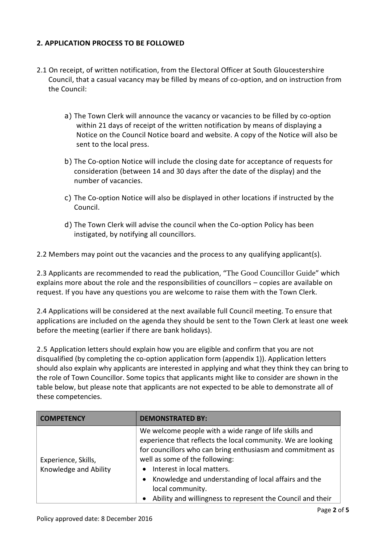#### **2. APPLICATION PROCESS TO BE FOLLOWED**

- 2.1 On receipt, of written notification, from the Electoral Officer at South Gloucestershire Council, that a casual vacancy may be filled by means of co-option, and on instruction from the Council:
	- a) The Town Clerk will announce the vacancy or vacancies to be filled by co-option within 21 days of receipt of the written notification by means of displaying a Notice on the Council Notice board and website. A copy of the Notice will also be sent to the local press.
	- b) The Co-option Notice will include the closing date for acceptance of requests for consideration (between 14 and 30 days after the date of the display) and the number of vacancies.
	- c) The Co-option Notice will also be displayed in other locations if instructed by the Council.
	- d) The Town Clerk will advise the council when the Co-option Policy has been instigated, by notifying all councillors.

2.2 Members may point out the vacancies and the process to any qualifying applicant(s).

2.3 Applicants are recommended to read the publication, "The [Good Councillor](http://www.nalc.gov.uk/library/publications/801-good-councillors-guide/file) Guide" which explains more about the role and the responsibilities of councillors – copies are available on request. If you have any questions you are welcome to raise them with the Town Clerk.

2.4 Applications will be considered at the next available full Council meeting. To ensure that applications are included on the agenda they should be sent to the Town Clerk at least one week before the meeting (earlier if there are bank holidays).

2.5 Application letters should explain how you are eligible and confirm that you are not disqualified (by completing the co-option application form (appendix 1)). Application letters should also explain why applicants are interested in applying and what they think they can bring to the role of Town Councillor. Some topics that applicants might like to consider are shown in the table below, but please note that applicants are not expected to be able to demonstrate all of these competencies.

| <b>COMPETENCY</b>                            | <b>DEMONSTRATED BY:</b>                                                                                                                                                                                                                                                                                                                                                                                                  |
|----------------------------------------------|--------------------------------------------------------------------------------------------------------------------------------------------------------------------------------------------------------------------------------------------------------------------------------------------------------------------------------------------------------------------------------------------------------------------------|
| Experience, Skills,<br>Knowledge and Ability | We welcome people with a wide range of life skills and<br>experience that reflects the local community. We are looking<br>for councillors who can bring enthusiasm and commitment as<br>well as some of the following:<br>Interest in local matters.<br>$\bullet$<br>Knowledge and understanding of local affairs and the<br>$\bullet$<br>local community.<br>Ability and willingness to represent the Council and their |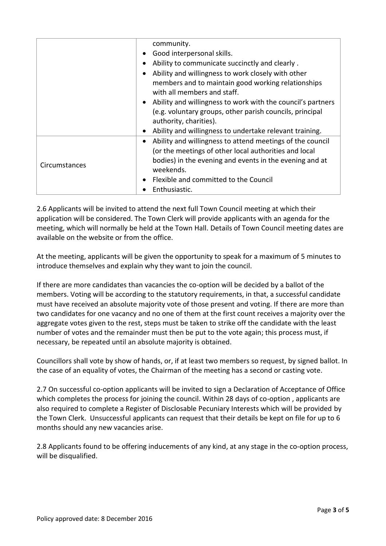|               | community.                                                                        |
|---------------|-----------------------------------------------------------------------------------|
|               | Good interpersonal skills.<br>$\bullet$                                           |
|               | Ability to communicate succinctly and clearly.<br>$\bullet$                       |
|               | Ability and willingness to work closely with other<br>$\bullet$                   |
|               | members and to maintain good working relationships<br>with all members and staff. |
|               | Ability and willingness to work with the council's partners<br>$\bullet$          |
|               | (e.g. voluntary groups, other parish councils, principal                          |
|               | authority, charities).                                                            |
|               | Ability and willingness to undertake relevant training.<br>$\bullet$              |
| Circumstances | Ability and willingness to attend meetings of the council<br>$\bullet$            |
|               | (or the meetings of other local authorities and local                             |
|               | bodies) in the evening and events in the evening and at<br>weekends.              |
|               | Flexible and committed to the Council<br>$\bullet$                                |
|               | Enthusiastic.                                                                     |

2.6 Applicants will be invited to attend the next full Town Council meeting at which their application will be considered. The Town Clerk will provide applicants with an agenda for the meeting, which will normally be held at the Town Hall. Details of Town Council meeting dates are available on the website or from the office.

At the meeting, applicants will be given the opportunity to speak for a maximum of 5 minutes to introduce themselves and explain why they want to join the council.

If there are more candidates than vacancies the co-option will be decided by a ballot of the members. Voting will be according to the statutory requirements, in that, a successful candidate must have received an absolute majority vote of those present and voting. If there are more than two candidates for one vacancy and no one of them at the first count receives a majority over the aggregate votes given to the rest, steps must be taken to strike off the candidate with the least number of votes and the remainder must then be put to the vote again; this process must, if necessary, be repeated until an absolute majority is obtained.

Councillors shall vote by show of hands, or, if at least two members so request, by signed ballot. In the case of an equality of votes, the Chairman of the meeting has a second or casting vote.

2.7 On successful co-option applicants will be invited to sign a Declaration of Acceptance of Office which completes the process for joining the council. Within 28 days of co-option, applicants are also required to complete a Register of Disclosable Pecuniary Interests which will be provided by the Town Clerk. Unsuccessful applicants can request that their details be kept on file for up to 6 months should any new vacancies arise.

2.8 Applicants found to be offering inducements of any kind, at any stage in the co-option process, will be disqualified.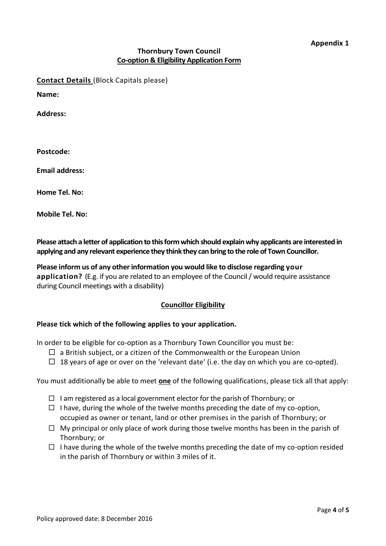#### **Thornbury Town Council Co-option & Eligibility Application Form**

**Contact Details** (Block Capitals please)

**Name:**

**Address:**

**Postcode:**

**Email address:**

**Home Tel. No:** 

**Mobile Tel. No:** 

**Please attach a letter of application to this form which should explain why applicants are interested in applying and any relevant experience they think they can bring to the role of Town Councillor.**

**Please inform us of any other information you would like to disclose regarding your application?** (E.g. if you are related to an employee of the Council / would require assistance during Council meetings with a disability)

#### **Councillor Eligibility**

#### **Please tick which of the following applies to your application.**

In order to be eligible for co-option as a Thornbury Town Councillor you must be:

- $\Box$  a British subject, or a citizen of the Commonwealth or the European Union
- $\Box$  18 years of age or over on the 'relevant date' (i.e. the day on which you are co-opted).

You must additionally be able to meet **one** of the following qualifications, please tick all that apply:

- $\Box$  I am registered as a local government elector for the parish of Thornbury; or
- $\Box$  I have, during the whole of the twelve months preceding the date of my co-option, occupied as owner or tenant, land or other premises in the parish of Thornbury; or
- $\Box$  My principal or only place of work during those twelve months has been in the parish of Thornbury; or
- $\Box$  I have during the whole of the twelve months preceding the date of my co-option resided in the parish of Thornbury or within 3 miles of it.